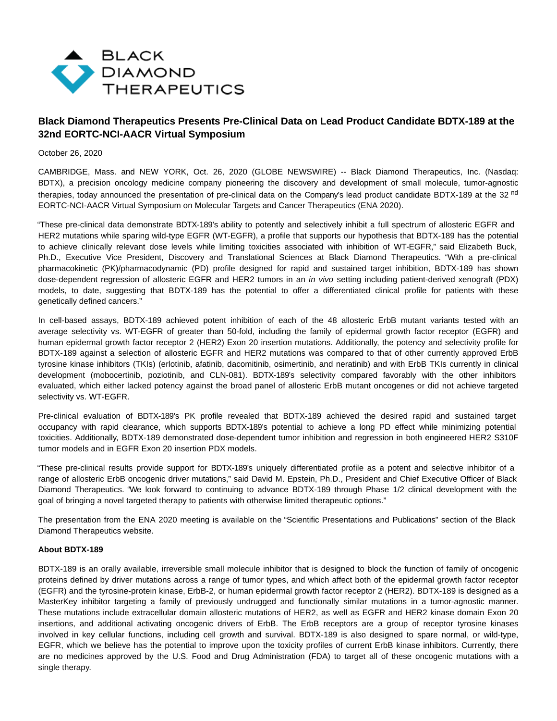

## **Black Diamond Therapeutics Presents Pre-Clinical Data on Lead Product Candidate BDTX-189 at the 32nd EORTC-NCI-AACR Virtual Symposium**

October 26, 2020

CAMBRIDGE, Mass. and NEW YORK, Oct. 26, 2020 (GLOBE NEWSWIRE) -- Black Diamond Therapeutics, Inc. (Nasdaq: BDTX), a precision oncology medicine company pioneering the discovery and development of small molecule, tumor-agnostic therapies, today announced the presentation of pre-clinical data on the Company's lead product candidate BDTX-189 at the 32 <sup>nd</sup> EORTC-NCI-AACR Virtual Symposium on Molecular Targets and Cancer Therapeutics (ENA 2020).

"These pre-clinical data demonstrate BDTX-189's ability to potently and selectively inhibit a full spectrum of allosteric EGFR and HER2 mutations while sparing wild-type EGFR (WT-EGFR), a profile that supports our hypothesis that BDTX-189 has the potential to achieve clinically relevant dose levels while limiting toxicities associated with inhibition of WT-EGFR," said Elizabeth Buck, Ph.D., Executive Vice President, Discovery and Translational Sciences at Black Diamond Therapeutics. "With a pre-clinical pharmacokinetic (PK)/pharmacodynamic (PD) profile designed for rapid and sustained target inhibition, BDTX-189 has shown dose-dependent regression of allosteric EGFR and HER2 tumors in an in vivo setting including patient-derived xenograft (PDX) models, to date, suggesting that BDTX-189 has the potential to offer a differentiated clinical profile for patients with these genetically defined cancers."

In cell-based assays, BDTX-189 achieved potent inhibition of each of the 48 allosteric ErbB mutant variants tested with an average selectivity vs. WT-EGFR of greater than 50-fold, including the family of epidermal growth factor receptor (EGFR) and human epidermal growth factor receptor 2 (HER2) Exon 20 insertion mutations. Additionally, the potency and selectivity profile for BDTX-189 against a selection of allosteric EGFR and HER2 mutations was compared to that of other currently approved ErbB tyrosine kinase inhibitors (TKIs) (erlotinib, afatinib, dacomitinib, osimertinib, and neratinib) and with ErbB TKIs currently in clinical development (mobocertinib, poziotinib, and CLN-081). BDTX-189's selectivity compared favorably with the other inhibitors evaluated, which either lacked potency against the broad panel of allosteric ErbB mutant oncogenes or did not achieve targeted selectivity vs. WT-EGFR.

Pre-clinical evaluation of BDTX-189's PK profile revealed that BDTX-189 achieved the desired rapid and sustained target occupancy with rapid clearance, which supports BDTX-189's potential to achieve a long PD effect while minimizing potential toxicities. Additionally, BDTX-189 demonstrated dose-dependent tumor inhibition and regression in both engineered HER2 S310F tumor models and in EGFR Exon 20 insertion PDX models.

"These pre-clinical results provide support for BDTX-189's uniquely differentiated profile as a potent and selective inhibitor of a range of allosteric ErbB oncogenic driver mutations," said David M. Epstein, Ph.D., President and Chief Executive Officer of Black Diamond Therapeutics. "We look forward to continuing to advance BDTX-189 through Phase 1/2 clinical development with the goal of bringing a novel targeted therapy to patients with otherwise limited therapeutic options."

The presentation from the ENA 2020 meeting is available on the "Scientific Presentations and Publications" section of the Black Diamond Therapeutics website.

### **About BDTX-189**

BDTX-189 is an orally available, irreversible small molecule inhibitor that is designed to block the function of family of oncogenic proteins defined by driver mutations across a range of tumor types, and which affect both of the epidermal growth factor receptor (EGFR) and the tyrosine-protein kinase, ErbB-2, or human epidermal growth factor receptor 2 (HER2). BDTX-189 is designed as a MasterKey inhibitor targeting a family of previously undrugged and functionally similar mutations in a tumor-agnostic manner. These mutations include extracellular domain allosteric mutations of HER2, as well as EGFR and HER2 kinase domain Exon 20 insertions, and additional activating oncogenic drivers of ErbB. The ErbB receptors are a group of receptor tyrosine kinases involved in key cellular functions, including cell growth and survival. BDTX-189 is also designed to spare normal, or wild-type, EGFR, which we believe has the potential to improve upon the toxicity profiles of current ErbB kinase inhibitors. Currently, there are no medicines approved by the U.S. Food and Drug Administration (FDA) to target all of these oncogenic mutations with a single therapy.